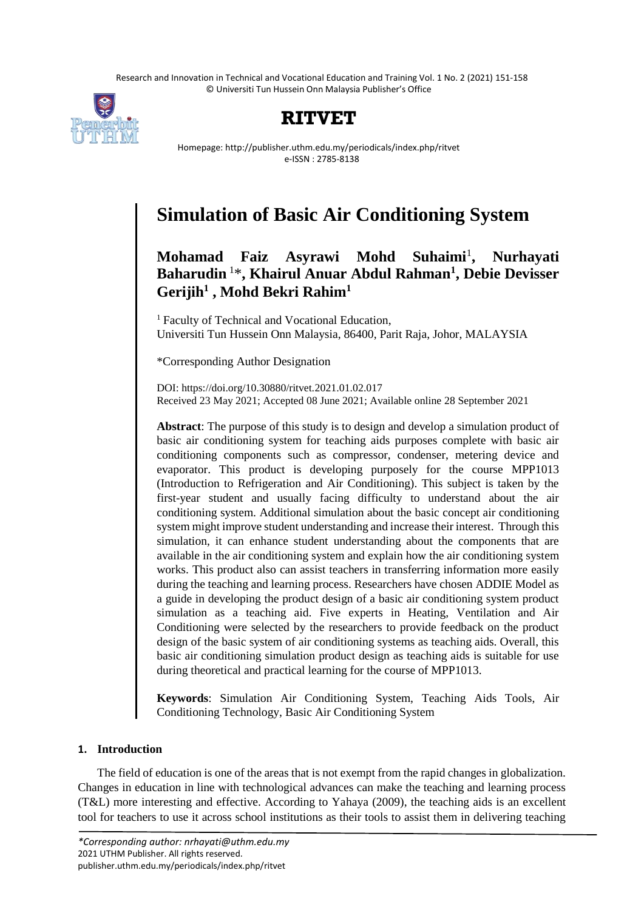Research and Innovation in Technical and Vocational Education and Training Vol. 1 No. 2 (2021) 151-158 © Universiti Tun Hussein Onn Malaysia Publisher's Office





Homepage: http://publisher.uthm.edu.my/periodicals/index.php/ritvet e-ISSN : 2785-8138

# **Simulation of Basic Air Conditioning System**

# **Mohamad Faiz Asyrawi Mohd Suhaimi**<sup>1</sup> **, Nurhayati Baharudin** <sup>1</sup>\***, Khairul Anuar Abdul Rahman<sup>1</sup> , Debie Devisser Gerijih<sup>1</sup> , Mohd Bekri Rahim<sup>1</sup>**

<sup>1</sup> Faculty of Technical and Vocational Education. Universiti Tun Hussein Onn Malaysia, 86400, Parit Raja, Johor, MALAYSIA

\*Corresponding Author Designation

DOI: https://doi.org/10.30880/ritvet.2021.01.02.017 Received 23 May 2021; Accepted 08 June 2021; Available online 28 September 2021

**Abstract**: The purpose of this study is to design and develop a simulation product of basic air conditioning system for teaching aids purposes complete with basic air conditioning components such as compressor, condenser, metering device and evaporator. This product is developing purposely for the course MPP1013 (Introduction to Refrigeration and Air Conditioning). This subject is taken by the first-year student and usually facing difficulty to understand about the air conditioning system. Additional simulation about the basic concept air conditioning system might improve student understanding and increase their interest. Through this simulation, it can enhance student understanding about the components that are available in the air conditioning system and explain how the air conditioning system works. This product also can assist teachers in transferring information more easily during the teaching and learning process. Researchers have chosen ADDIE Model as a guide in developing the product design of a basic air conditioning system product simulation as a teaching aid. Five experts in Heating, Ventilation and Air Conditioning were selected by the researchers to provide feedback on the product design of the basic system of air conditioning systems as teaching aids. Overall, this basic air conditioning simulation product design as teaching aids is suitable for use during theoretical and practical learning for the course of MPP1013.

**Keywords**: Simulation Air Conditioning System, Teaching Aids Tools, Air Conditioning Technology, Basic Air Conditioning System

# **1. Introduction**

The field of education is one of the areas that is not exempt from the rapid changes in globalization. Changes in education in line with technological advances can make the teaching and learning process (T&L) more interesting and effective. According to Yahaya (2009), the teaching aids is an excellent tool for teachers to use it across school institutions as their tools to assist them in delivering teaching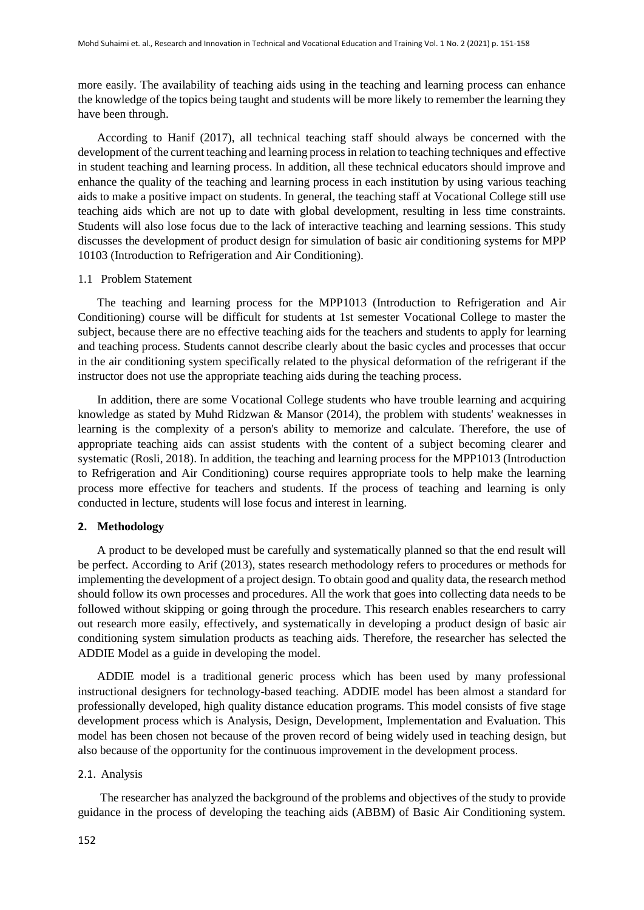more easily. The availability of teaching aids using in the teaching and learning process can enhance the knowledge of the topics being taught and students will be more likely to remember the learning they have been through.

According to Hanif (2017), all technical teaching staff should always be concerned with the development of the current teaching and learning process in relation to teaching techniques and effective in student teaching and learning process. In addition, all these technical educators should improve and enhance the quality of the teaching and learning process in each institution by using various teaching aids to make a positive impact on students. In general, the teaching staff at Vocational College still use teaching aids which are not up to date with global development, resulting in less time constraints. Students will also lose focus due to the lack of interactive teaching and learning sessions. This study discusses the development of product design for simulation of basic air conditioning systems for MPP 10103 (Introduction to Refrigeration and Air Conditioning).

#### 1.1 Problem Statement

The teaching and learning process for the MPP1013 (Introduction to Refrigeration and Air Conditioning) course will be difficult for students at 1st semester Vocational College to master the subject, because there are no effective teaching aids for the teachers and students to apply for learning and teaching process. Students cannot describe clearly about the basic cycles and processes that occur in the air conditioning system specifically related to the physical deformation of the refrigerant if the instructor does not use the appropriate teaching aids during the teaching process.

In addition, there are some Vocational College students who have trouble learning and acquiring knowledge as stated by Muhd Ridzwan & Mansor (2014), the problem with students' weaknesses in learning is the complexity of a person's ability to memorize and calculate. Therefore, the use of appropriate teaching aids can assist students with the content of a subject becoming clearer and systematic (Rosli, 2018). In addition, the teaching and learning process for the MPP1013 (Introduction to Refrigeration and Air Conditioning) course requires appropriate tools to help make the learning process more effective for teachers and students. If the process of teaching and learning is only conducted in lecture, students will lose focus and interest in learning.

#### **2. Methodology**

A product to be developed must be carefully and systematically planned so that the end result will be perfect. According to Arif (2013), states research methodology refers to procedures or methods for implementing the development of a project design. To obtain good and quality data, the research method should follow its own processes and procedures. All the work that goes into collecting data needs to be followed without skipping or going through the procedure. This research enables researchers to carry out research more easily, effectively, and systematically in developing a product design of basic air conditioning system simulation products as teaching aids. Therefore, the researcher has selected the ADDIE Model as a guide in developing the model.

ADDIE model is a traditional generic process which has been used by many professional instructional designers for technology-based teaching. ADDIE model has been almost a standard for professionally developed, high quality distance education programs. This model consists of five stage development process which is Analysis, Design, Development, Implementation and Evaluation. This model has been chosen not because of the proven record of being widely used in teaching design, but also because of the opportunity for the continuous improvement in the development process.

#### 2.1. Analysis

The researcher has analyzed the background of the problems and objectives of the study to provide guidance in the process of developing the teaching aids (ABBM) of Basic Air Conditioning system.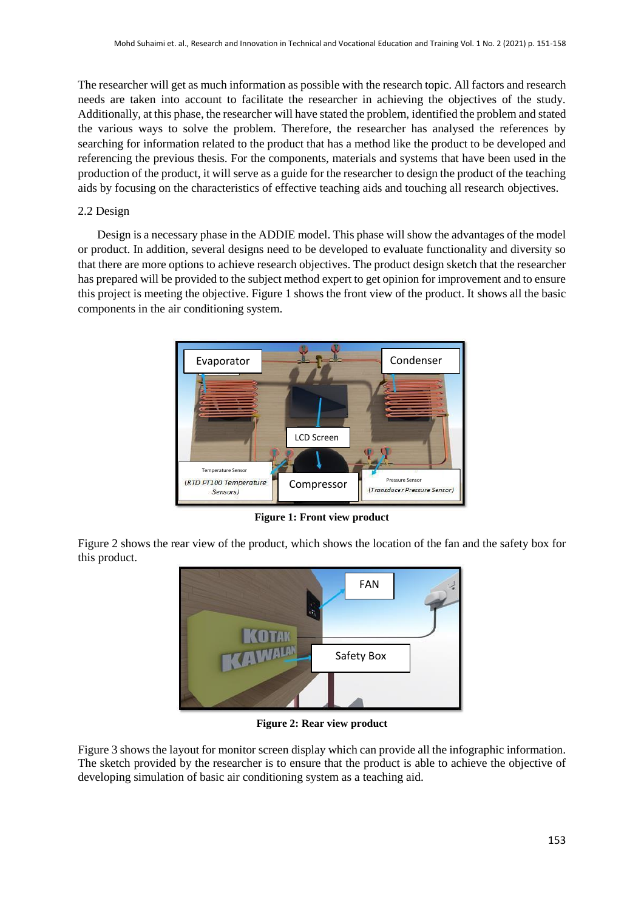The researcher will get as much information as possible with the research topic. All factors and research needs are taken into account to facilitate the researcher in achieving the objectives of the study. Additionally, at this phase, the researcher will have stated the problem, identified the problem and stated the various ways to solve the problem. Therefore, the researcher has analysed the references by searching for information related to the product that has a method like the product to be developed and referencing the previous thesis. For the components, materials and systems that have been used in the production of the product, it will serve as a guide for the researcher to design the product of the teaching aids by focusing on the characteristics of effective teaching aids and touching all research objectives.

# 2.2 Design

Design is a necessary phase in the ADDIE model. This phase will show the advantages of the model or product. In addition, several designs need to be developed to evaluate functionality and diversity so that there are more options to achieve research objectives. The product design sketch that the researcher has prepared will be provided to the subject method expert to get opinion for improvement and to ensure this project is meeting the objective. Figure 1 shows the front view of the product. It shows all the basic components in the air conditioning system.



**Figure 1: Front view product**

Figure 2 shows the rear view of the product, which shows the location of the fan and the safety box for this product.



**Figure 2: Rear view product** 

Figure 3 shows the layout for monitor screen display which can provide all the infographic information. The sketch provided by the researcher is to ensure that the product is able to achieve the objective of developing simulation of basic air conditioning system as a teaching aid.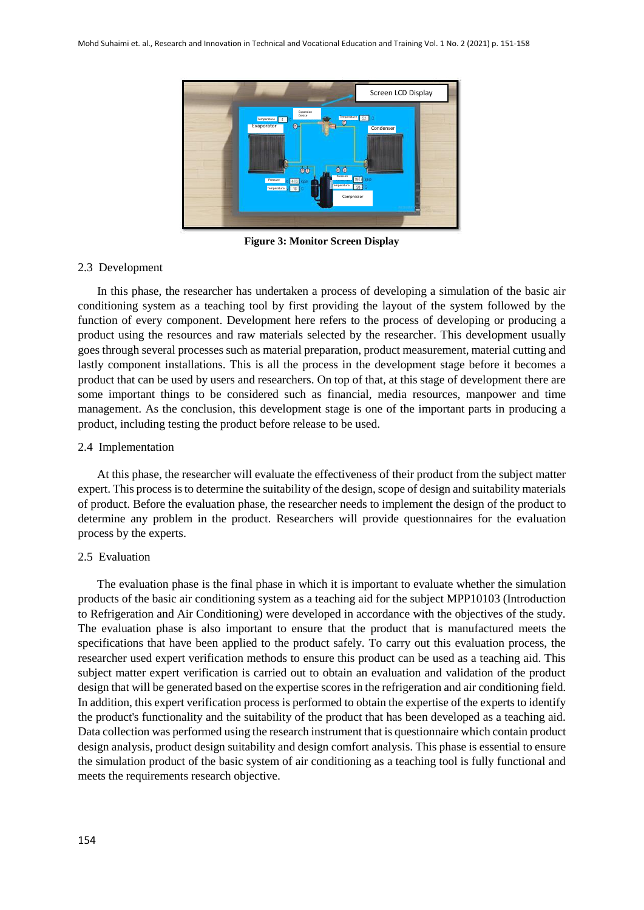

**Figure 3: Monitor Screen Display**

#### 2.3 Development

In this phase, the researcher has undertaken a process of developing a simulation of the basic air conditioning system as a teaching tool by first providing the layout of the system followed by the function of every component. Development here refers to the process of developing or producing a product using the resources and raw materials selected by the researcher. This development usually goes through several processes such as material preparation, product measurement, material cutting and lastly component installations. This is all the process in the development stage before it becomes a product that can be used by users and researchers. On top of that, at this stage of development there are some important things to be considered such as financial, media resources, manpower and time management. As the conclusion, this development stage is one of the important parts in producing a product, including testing the product before release to be used.

#### 2.4 Implementation

At this phase, the researcher will evaluate the effectiveness of their product from the subject matter expert. This process is to determine the suitability of the design, scope of design and suitability materials of product. Before the evaluation phase, the researcher needs to implement the design of the product to determine any problem in the product. Researchers will provide questionnaires for the evaluation process by the experts.

#### 2.5 Evaluation

The evaluation phase is the final phase in which it is important to evaluate whether the simulation products of the basic air conditioning system as a teaching aid for the subject MPP10103 (Introduction to Refrigeration and Air Conditioning) were developed in accordance with the objectives of the study. The evaluation phase is also important to ensure that the product that is manufactured meets the specifications that have been applied to the product safely. To carry out this evaluation process, the researcher used expert verification methods to ensure this product can be used as a teaching aid. This subject matter expert verification is carried out to obtain an evaluation and validation of the product design that will be generated based on the expertise scores in the refrigeration and air conditioning field. In addition, this expert verification process is performed to obtain the expertise of the experts to identify the product's functionality and the suitability of the product that has been developed as a teaching aid. Data collection was performed using the research instrument that is questionnaire which contain product design analysis, product design suitability and design comfort analysis. This phase is essential to ensure the simulation product of the basic system of air conditioning as a teaching tool is fully functional and meets the requirements research objective.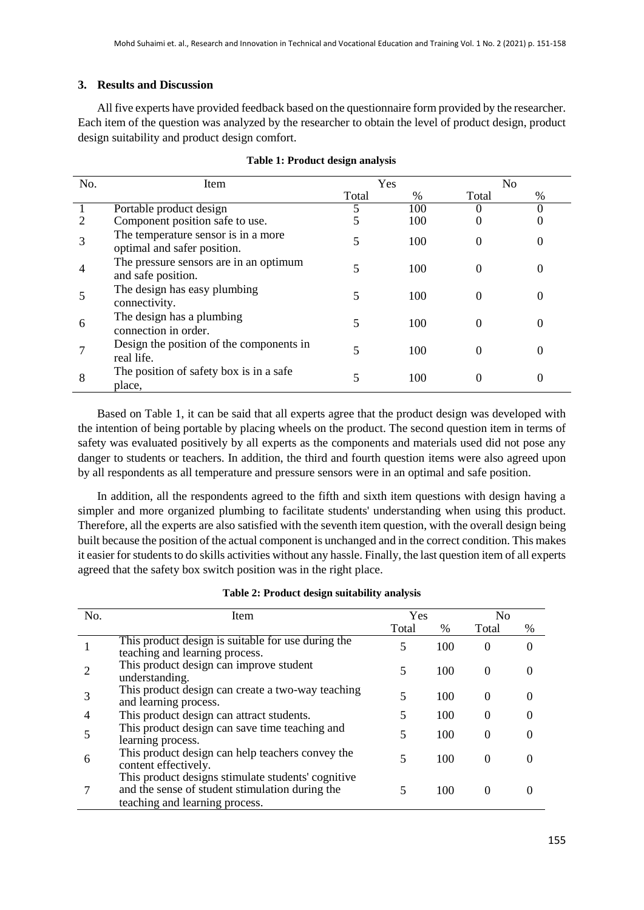# **3. Results and Discussion**

All five experts have provided feedback based on the questionnaire form provided by the researcher. Each item of the question was analyzed by the researcher to obtain the level of product design, product design suitability and product design comfort.

| No. | Item                                                               | Yes   |      | No.              |      |
|-----|--------------------------------------------------------------------|-------|------|------------------|------|
|     |                                                                    | Total | $\%$ | Total            | $\%$ |
|     | Portable product design                                            |       | 100  |                  |      |
|     | Component position safe to use.                                    |       | 100  | $\left( \right)$ |      |
| 3   | The temperature sensor is in a more<br>optimal and safer position. |       | 100  | $\theta$         |      |
| 4   | The pressure sensors are in an optimum<br>and safe position.       | 5     | 100  | $\theta$         |      |
|     | The design has easy plumbing<br>connectivity.                      | 5     | 100  | $\theta$         |      |
| 6   | The design has a plumbing<br>connection in order.                  | 5     | 100  | $\theta$         |      |
|     | Design the position of the components in<br>real life.             |       | 100  |                  |      |
| 8   | The position of safety box is in a safe.<br>place,                 |       | 100  | 0                |      |

|  |  |  |  | Table 1: Product design analysis |
|--|--|--|--|----------------------------------|
|--|--|--|--|----------------------------------|

Based on Table 1, it can be said that all experts agree that the product design was developed with the intention of being portable by placing wheels on the product. The second question item in terms of safety was evaluated positively by all experts as the components and materials used did not pose any danger to students or teachers. In addition, the third and fourth question items were also agreed upon by all respondents as all temperature and pressure sensors were in an optimal and safe position.

In addition, all the respondents agreed to the fifth and sixth item questions with design having a simpler and more organized plumbing to facilitate students' understanding when using this product. Therefore, all the experts are also satisfied with the seventh item question, with the overall design being built because the position of the actual component is unchanged and in the correct condition. This makes it easier for students to do skills activities without any hassle. Finally, the last question item of all experts agreed that the safety box switch position was in the right place.

| No. | Item                                                                                                                                    | Yes   |      | No       |   |
|-----|-----------------------------------------------------------------------------------------------------------------------------------------|-------|------|----------|---|
|     |                                                                                                                                         | Total | $\%$ | Total    | % |
|     | This product design is suitable for use during the<br>teaching and learning process.                                                    | 5     | 100  | $\Omega$ | 0 |
|     | This product design can improve student<br>understanding.                                                                               | 5     | 100  | $\theta$ |   |
|     | This product design can create a two-way teaching<br>and learning process.                                                              | 5     | 100  | $\Omega$ |   |
|     | This product design can attract students.                                                                                               | 5     | 100  | $\Omega$ |   |
|     | This product design can save time teaching and<br>learning process.                                                                     | 5     | 100  | $\theta$ |   |
| 6   | This product design can help teachers convey the<br>content effectively.                                                                | 5     | 100  | $\Omega$ |   |
|     | This product designs stimulate students' cognitive<br>and the sense of student stimulation during the<br>teaching and learning process. | 5     | 100  | $\theta$ |   |

| Table 2: Product design suitability analysis |  |  |  |
|----------------------------------------------|--|--|--|
|----------------------------------------------|--|--|--|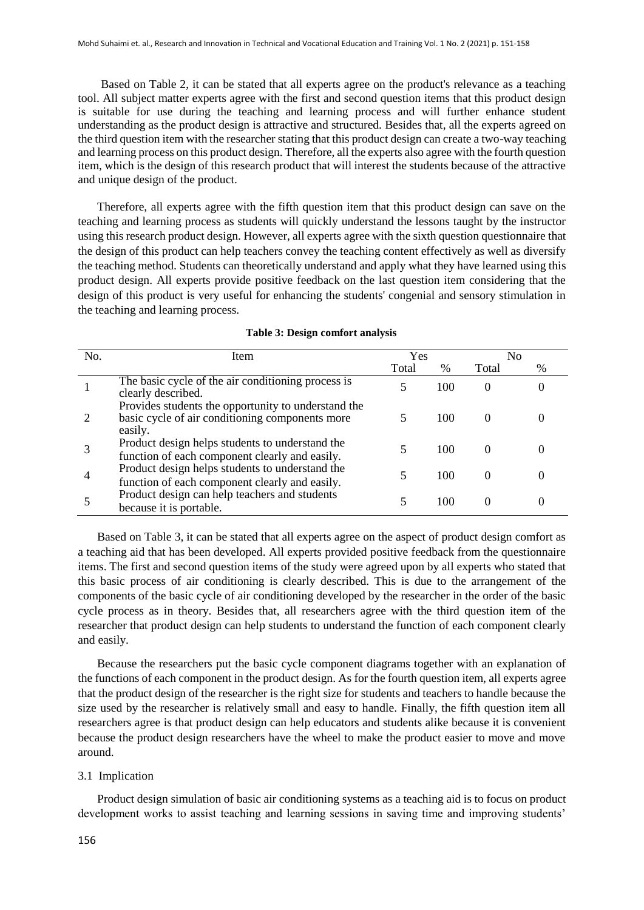Based on Table 2, it can be stated that all experts agree on the product's relevance as a teaching tool. All subject matter experts agree with the first and second question items that this product design is suitable for use during the teaching and learning process and will further enhance student understanding as the product design is attractive and structured. Besides that, all the experts agreed on the third question item with the researcher stating that this product design can create a two-way teaching and learning process on this product design. Therefore, all the experts also agree with the fourth question item, which is the design of this research product that will interest the students because of the attractive and unique design of the product.

Therefore, all experts agree with the fifth question item that this product design can save on the teaching and learning process as students will quickly understand the lessons taught by the instructor using this research product design. However, all experts agree with the sixth question questionnaire that the design of this product can help teachers convey the teaching content effectively as well as diversify the teaching method. Students can theoretically understand and apply what they have learned using this product design. All experts provide positive feedback on the last question item considering that the design of this product is very useful for enhancing the students' congenial and sensory stimulation in the teaching and learning process.

| No. | Item                                                                                                              | Yes   |     | No       |   |
|-----|-------------------------------------------------------------------------------------------------------------------|-------|-----|----------|---|
|     |                                                                                                                   | Total | %   | Total    | % |
|     | The basic cycle of the air conditioning process is<br>clearly described.                                          | 5     | 100 | $\Omega$ |   |
|     | Provides students the opportunity to understand the<br>basic cycle of air conditioning components more<br>easily. |       | 100 | 0        |   |
|     | Product design helps students to understand the<br>function of each component clearly and easily.                 |       | 100 | $\theta$ |   |
|     | Product design helps students to understand the<br>function of each component clearly and easily.                 |       | 100 | 0        |   |
|     | Product design can help teachers and students<br>because it is portable.                                          |       | 100 | 0        |   |

#### **Table 3: Design comfort analysis**

Based on Table 3, it can be stated that all experts agree on the aspect of product design comfort as a teaching aid that has been developed. All experts provided positive feedback from the questionnaire items. The first and second question items of the study were agreed upon by all experts who stated that this basic process of air conditioning is clearly described. This is due to the arrangement of the components of the basic cycle of air conditioning developed by the researcher in the order of the basic cycle process as in theory. Besides that, all researchers agree with the third question item of the researcher that product design can help students to understand the function of each component clearly and easily.

Because the researchers put the basic cycle component diagrams together with an explanation of the functions of each component in the product design. As for the fourth question item, all experts agree that the product design of the researcher is the right size for students and teachers to handle because the size used by the researcher is relatively small and easy to handle. Finally, the fifth question item all researchers agree is that product design can help educators and students alike because it is convenient because the product design researchers have the wheel to make the product easier to move and move around.

#### 3.1 Implication

Product design simulation of basic air conditioning systems as a teaching aid is to focus on product development works to assist teaching and learning sessions in saving time and improving students'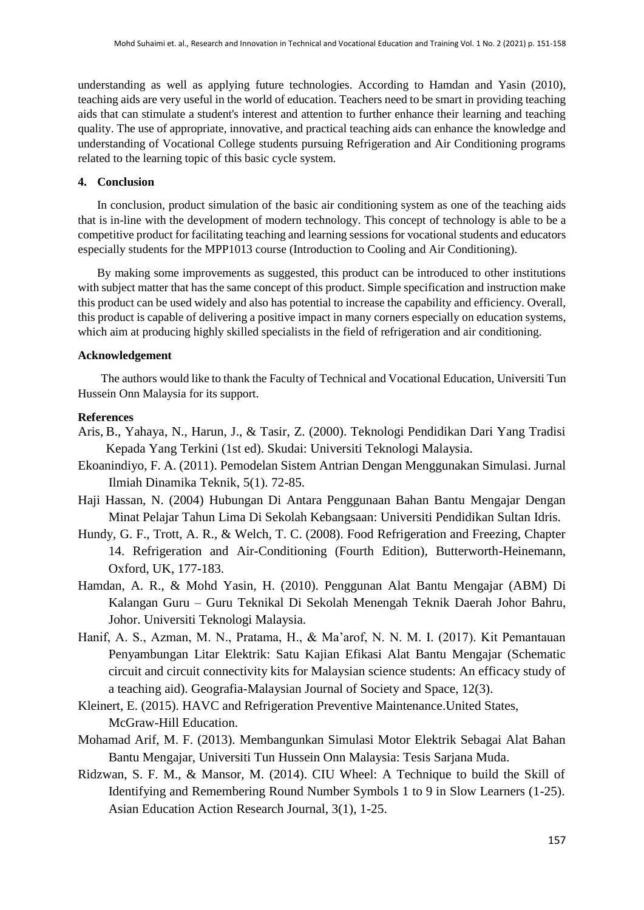understanding as well as applying future technologies. According to Hamdan and Yasin (2010), teaching aids are very useful in the world of education. Teachers need to be smart in providing teaching aids that can stimulate a student's interest and attention to further enhance their learning and teaching quality. The use of appropriate, innovative, and practical teaching aids can enhance the knowledge and understanding of Vocational College students pursuing Refrigeration and Air Conditioning programs related to the learning topic of this basic cycle system.

## **4. Conclusion**

In conclusion, product simulation of the basic air conditioning system as one of the teaching aids that is in-line with the development of modern technology. This concept of technology is able to be a competitive product for facilitating teaching and learning sessions for vocational students and educators especially students for the MPP1013 course (Introduction to Cooling and Air Conditioning).

By making some improvements as suggested, this product can be introduced to other institutions with subject matter that has the same concept of this product. Simple specification and instruction make this product can be used widely and also has potential to increase the capability and efficiency. Overall, this product is capable of delivering a positive impact in many corners especially on education systems, which aim at producing highly skilled specialists in the field of refrigeration and air conditioning.

## **Acknowledgement**

The authors would like to thank the Faculty of Technical and Vocational Education, Universiti Tun Hussein Onn Malaysia for its support.

#### **References**

- Aris, B., Yahaya, N., Harun, J., & Tasir, Z. (2000). Teknologi Pendidikan Dari Yang Tradisi Kepada Yang Terkini (1st ed). Skudai: Universiti Teknologi Malaysia.
- Ekoanindiyo, F. A. (2011). Pemodelan Sistem Antrian Dengan Menggunakan Simulasi. Jurnal Ilmiah Dinamika Teknik, 5(1). 72-85.
- Haji Hassan, N. (2004) Hubungan Di Antara Penggunaan Bahan Bantu Mengajar Dengan Minat Pelajar Tahun Lima Di Sekolah Kebangsaan: Universiti Pendidikan Sultan Idris.
- Hundy, G. F., Trott, A. R., & Welch, T. C. (2008). Food Refrigeration and Freezing, Chapter 14. Refrigeration and Air-Conditioning (Fourth Edition), Butterworth-Heinemann, Oxford, UK, 177-183.
- Hamdan, A. R., & Mohd Yasin, H. (2010). Penggunan Alat Bantu Mengajar (ABM) Di Kalangan Guru – Guru Teknikal Di Sekolah Menengah Teknik Daerah Johor Bahru, Johor. Universiti Teknologi Malaysia.
- Hanif, A. S., Azman, M. N., Pratama, H., & Ma'arof, N. N. M. I. (2017). Kit Pemantauan Penyambungan Litar Elektrik: Satu Kajian Efikasi Alat Bantu Mengajar (Schematic circuit and circuit connectivity kits for Malaysian science students: An efficacy study of a teaching aid). Geografia-Malaysian Journal of Society and Space, 12(3).
- Kleinert, E. (2015). HAVC and Refrigeration Preventive Maintenance.United States, McGraw-Hill Education.
- Mohamad Arif, M. F. (2013). Membangunkan Simulasi Motor Elektrik Sebagai Alat Bahan Bantu Mengajar, Universiti Tun Hussein Onn Malaysia: Tesis Sarjana Muda.
- Ridzwan, S. F. M., & Mansor, M. (2014). CIU Wheel: A Technique to build the Skill of Identifying and Remembering Round Number Symbols 1 to 9 in Slow Learners (1-25). Asian Education Action Research Journal, 3(1), 1-25.